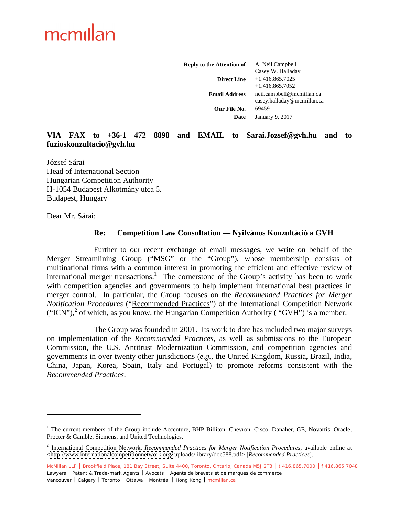**Reply to the Attention of** A. Neil Campbell<br>Casey W. Halladay Casey W. Halladay **Direct Line** +1.416.865.7025 +1.416.865.7052 **Email Address** neil.campbell@mcmillan.ca casey.halladay@mcmillan.ca **Our File No.** 69459 **Date** January 9, 2017

#### **VIA FAX to +36-1 472 8898 and EMAIL to Sarai.Jozsef@gvh.hu and to fuzioskonzultacio@gvh.hu**

József Sárai Head of International Section Hungarian Competition Authority H-1054 Budapest Alkotmány utca 5. Budapest, Hungary

Dear Mr. Sárai:

#### **Re: Competition Law Consultation — Nyilvános Konzultáció a GVH**

Further to our recent exchange of email messages, we write on behalf of the Merger Streamlining Group ("MSG" or the "Group"), whose membership consists of multinational firms with a common interest in promoting the efficient and effective review of international merger transactions.<sup>1</sup> The cornerstone of the Group's activity has been to work with competition agencies and governments to help implement international best practices in merger control. In particular, the Group focuses on the *Recommended Practices for Merger Notification Procedures* ("Recommended Practices") of the International Competition Network ("ICN"),<sup>2</sup> of which, as you know, the Hungarian Competition Authority (" $\overrightarrow{GVH}$ ") is a member.

The Group was founded in 2001. Its work to date has included two major surveys on implementation of the *Recommended Practices*, as well as submissions to the European Commission, the U.S. Antitrust Modernization Commission, and competition agencies and governments in over twenty other jurisdictions (*e.g.*, the United Kingdom, Russia, Brazil, India, China, Japan, Korea, Spain, Italy and Portugal) to promote reforms consistent with the *Recommended Practices*.

 $1$  The current members of the Group include Accenture, BHP Billiton, Chevron, Cisco, Danaher, GE, Novartis, Oracle, Procter & Gamble, Siemens, and United Technologies.

<sup>2</sup> International Competition Network, *Recommended Practices for Merger Notification Procedures*, available online at [<http://www.internationalcompetitionnetwork.org/](http://www.internationalcompetitionnetwork.org/) uploads/library/doc588.pdf> [*Recommended Practices*].

McMillan LLP | Brookfield Place, 181 Bay Street, Suite 4400, Toronto, Ontario, Canada M5J 2T3 | t 416.865.7000 | f 416.865.7048 Lawyers | Patent & Trade-mark Agents | Avocats | Agents de brevets et de marques de commerce Vancouver | Calgary | Toronto | Ottawa | Montréal | Hong Kong | mcmillan.ca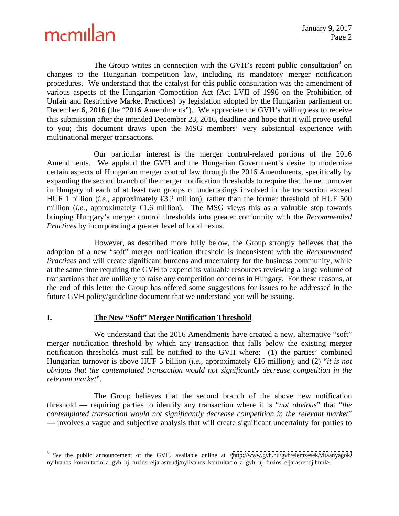The Group writes in connection with the GVH's recent public consultation<sup>3</sup> on  $3 \text{ cm}$ on changes to the Hungarian competition law, including its mandatory merger notification procedures. We understand that the catalyst for this public consultation was the amendment of various aspects of the Hungarian Competition Act (Act LVII of 1996 on the Prohibition of Unfair and Restrictive Market Practices) by legislation adopted by the Hungarian parliament on December 6, 2016 (the "2016 Amendments"). We appreciate the GVH's willingness to receive this submission after the intended December 23, 2016, deadline and hope that it will prove useful to you; this document draws upon the MSG members' very substantial experience with multinational merger transactions.

Our particular interest is the merger control-related portions of the 2016 Amendments. We applaud the GVH and the Hungarian Government's desire to modernize certain aspects of Hungarian merger control law through the 2016 Amendments, specifically by expanding the second branch of the merger notification thresholds to require that the net turnover in Hungary of each of at least two groups of undertakings involved in the transaction exceed HUF 1 billion *(i.e.*, approximately  $\epsilon$ 3.2 million), rather than the former threshold of HUF 500 million (*i.e.*, approximately  $\bigoplus$ .6 million). The MSG views this as a valuable step towards bringing Hungary's merger control thresholds into greater conformity with the *Recommended Practices* by incorporating a greater level of local nexus.

However, as described more fully below, the Group strongly believes that the adoption of a new "soft" merger notification threshold is inconsistent with the *Recommended Practices* and will create significant burdens and uncertainty for the business community, while at the same time requiring the GVH to expend its valuable resources reviewing a large volume of transactions that are unlikely to raise any competition concerns in Hungary. For these reasons, at the end of this letter the Group has offered some suggestions for issuesto be addressed in the future GVH policy/guideline document that we understand you will be issuing.

#### **I. The New "Soft" Merger Notification Threshold**

We understand that the 2016 Amendments have created a new, alternative "soft" merger notification threshold by which any transaction that falls below the existing merger notification thresholds must still be notified to the GVH where: (1) the parties' combined Hungarian turnover is above HUF 5 billion (*i.e.*, approximately €16 million); and (2) "*it is not obvious that the contemplated transaction would not significantly decrease competition in the relevant market*".

The Group believes that the second branch of the above new notification threshold — requiring parties to identify any transaction where it is "*not obvious*" that "*the* contemplated transaction would not significantly decrease competition in the relevant market"<br>— involves a vague and subjective analysis that will create significant uncertainty for parties to

<sup>&</sup>lt;sup>3</sup> See the public announcement of the GVH, available online at [<http://www.gvh.hu/gvh/elemzesek/vitaanyagok/](http://www.gvh.hu/gvh/elemzesek/vitaanyagok/) nyilvanos\_konzultacio\_a\_gvh\_uj\_fuzios\_eljarasrendj/nyilvanos\_konzultacio\_a\_gvh\_uj\_fuzios\_eljarasrendj.html>.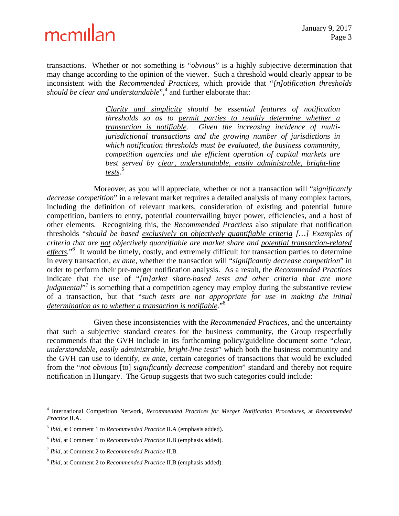transactions. Whether or not something is "*obvious*" is a highly subjective determination that may change according to the opinion of the viewer. Such a threshold would clearly appear to be inconsistent with the *Recommended Practices*, which provide that "*[n]otification thresholds* should be clear and understandable",<sup>4</sup> and further elaborate that:

*Clarity and simplicity should be essential features of notification thresholds so as to permit parties to readily determine whether a transaction is notifiable. Given the increasing incidence of multijurisdictional transactions and the growing number of jurisdictions in which notification thresholds must be evaluated, the business community, competition agencies and the ef icient operation of capital markets are best served by clear, understandable, easily administrable, bright-line tests*.5

Moreover, as you will appreciate, whether or not a transaction will "*significantly decrease competition*" in a relevant market requires a detailed analysis of many complex factors, including the definition of relevant markets, consideration of existing and potential future competition, barriers to entry, potential countervailing buyer power, efficiencies, and a host of other elements. Recognizing this, the *Recommended Practices* also stipulate that notification thresholds "*should be based exclusively on objectively quantifiable criteria […] Examples of criteria that are not objectively quantifiable are market share and potential transaction-related*  effects."<sup>6</sup> It would be timely, costly, and extremely difficult for transaction parties to determine in every transaction, *ex ante*, whether the transaction will "*significantly decrease competition*" in order to perform their pre-merger notification analysis. As a result, the *Recommended Practices* indicate that the use of "*[m]arket share-based tests and other criteria that are more judgmental*<sup>1,7</sup> is something that a competition agency may employ during the substantive review of a transaction, but that "*such tests are not appropriate for use in making the initial determination as to whether a transaction is notifiable*."8

Given these inconsistencies with the *Recommended Practices*, and the uncertainty that such a subjective standard creates for the business community, the Group respectfully recommends that the GVH include in its forthcoming policy/guideline document some "*clear, understandable, easily administrable, bright-line tests*" which both the business community and the GVH can use to identify, *ex ante*, certain categories of transactions that would be excluded from the "*not obvious* [to] *significantly decrease competition*" standard and thereby not require notification in Hungary. The Group suggests that two such categories could include:

<sup>&</sup>lt;sup>4</sup> International Compatition Network, *Becommended Brastiaes for Menacy Netification Brassedunes* at *Becommended* International Competition Network, *Recommended Practices for Merger Notification Procedures*, at *Recommended Practice* II.A.

<sup>5</sup> *Ibid,* at Comment 1 to *Recommended Practice* II.A (emphasis added).

<sup>6</sup> *Ibid,* at Comment 1 to *Recommended Practice* II.B (emphasis added).

<sup>7</sup> *Ibid,* at Comment 2 to *Recommended Practice* II.B.

<sup>8</sup> *Ibid,* at Comment 2 to *Recommended Practice* II.B (emphasis added).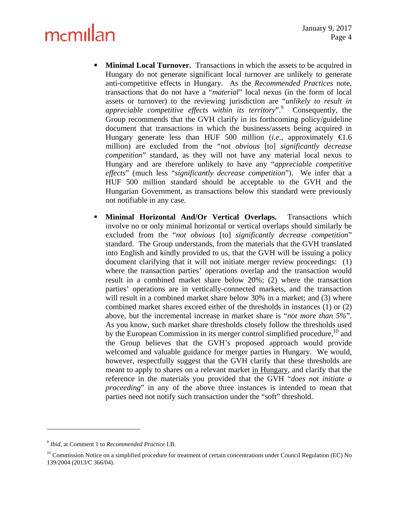- **Minimal Local Turnover.** Transactions in which the assets to be acquired in Hungary do not generate significant local turnover are unlikely to generate anti-competitive effects in Hungary. As the *Recommended Practices* note, transactions that do not have a "*material*" local nexus (in the form of local assets or turnover) to the reviewing jurisdiction are "*unlikely to result in appreciable competitive effects within its territory*".<sup>9</sup> Consequently, the Group recommends that the GVH clarify in its forthcoming policy/guideline document that transactions in which the business/assets being acquired in Hungary generate less than HUF 500 million (*i.e.*, approximately  $\epsilon 1.6$ million) are excluded from the "*not obvious* [to] *significantly decrease competition*" standard, as they will not have any material local nexus to Hungary and are therefore unlikely to have any "*appreciable competitive effects*" (much less "*significantly decrease competition*"). We infer that a HUF 500 million standard should be acceptable to the GVH and the Hungarian Government, as transactions below this standard were previously not notifiable in any case.
- $\blacksquare$ **Minimal Horizontal And/Or Vertical Overlaps.** Transactions which involve no or only minimal horizontal or vertical overlaps should similarly be excluded from the "*not obvious* [to] *significantly decrease competition*" standard. The Group understands, from the materials that the GVH translated into English and kindly provided to us, that the GVH will be issuing a policy document clarifying that it will not initiate merger review proceedings: (1) where the transaction parties' operations overlap and the transaction would result in a combined market share below 20%; (2) where the transaction parties' operations are in vertically-connected markets, and the transaction will result in a combined market share below 30% in a market; and (3) where combined market shares exceed either of the thresholds in instances (1) or (2) above, but the incremental increase in market share is "*not more than 5%*". As you know, such market share thresholds closely follow the thresholds used by the European Commission in its merger control simplified procedure,  $^{10}$  and the Group believes that the GVH's proposed approach would provide welcomed and valuable guidance for merger parties in Hungary. We would, however, respectfully suggest that the GVH clarify that these thresholds are meant to apply to shares on a relevant market in Hungary, and clarify that the reference in the materials you provided that the GVH "*does not initiate a proceeding*" in any of the above three instances is intended to mean that parties need not notify such transaction under the "soft" threshold.

<sup>&</sup>lt;sup>9</sup> Ibid at Commont 1 to Becommonded Buscies I B *Ibid,* at Comment 1 to *Recommended Practice* I.B.

<sup>&</sup>lt;sup>10</sup> Commission Notice on a simplified procedure for treatment of certain concentrations under Council Regulation (EC) No 139/2004 (2013/C 366/04).